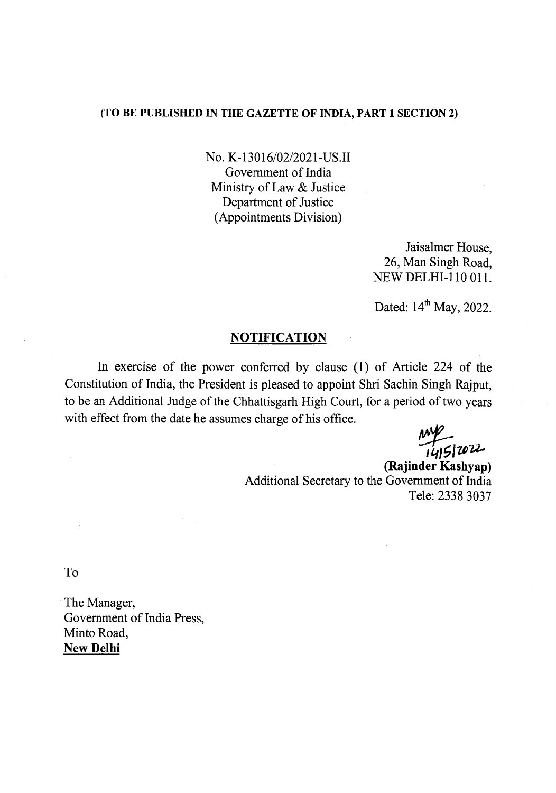## (TO BE PUBLISHED IN THE GAZETTE OF INDIA, PART 1 SECTION 2)

No. K-13016/02/2021-US.II Government of India Ministry of Law & Justice Department of Justice (Appointments Division)

> Jaisalmer House, 26, Man Singh Road, NEW DELHI-110 OIl.

Dated:  $14<sup>th</sup>$  May, 2022.

## **NOTIFICATION**

In exercise of the power conferred by clause (1) of Article 224 of the Constitution of India, the President is pleased to appoint Shri Sachin Singh Rajput, to be an Additional Judge of the Chhattisgarh High Court, for a period of two years with effect from the date he assumes charge of his office.

mp<br>1415 | 2022.

(Rajinder Kashyap) Additional Secretary to the Government of India Tele: 23383037

To

The Manager, Government of India Press, Minto Road, New Delhi